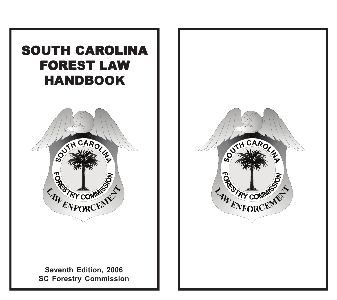# SOUTH CAROLINA **FOREST LAW HANDBOOK**



### **Seventh Edition, 2006 SC Forestry Commission**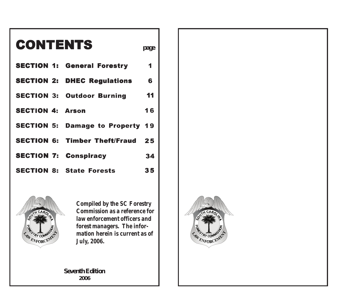# **CONTENTS**

- **SECTION 1: General Forestry** 1
- **SECTION 2: DHEC Regulations** 6
- **SECTION 3: Outdoor Burning** 11
- **SECTION 4: Arson** 16
- **SECTION 5: Damage to Property** 19
- **SECTION 6: Timber Theft/Fraud** 25
- **SECTION 7: Conspiracy** 34
- **SECTION 8: State Forests** 35



*Compiled by the SC Forestry Commission as a reference for law enforcement officers and forest managers. The information herein is current as of July, 2006.*

**Seventh Edition 2006**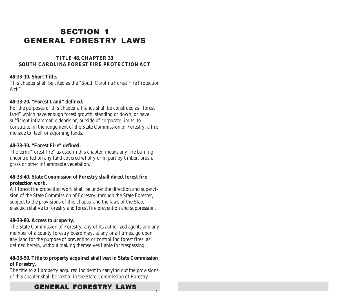# **SECTION 1 GENERAL FORESTRY LAWS**

#### **TITLE 48, CHAPTER 33 SOUTH CAROLINA FOREST FIRE PROTECTION ACT**

#### **48-33-10. Short Title.**

This chapter shall be cited as the "South Carolina Forest Fire Protection Act."

#### **48-33-20. "Forest Land" defined.**

For the purposes of this chapter all lands shall be construed as "forest land" which have enough forest growth, standing or down, or have sufficient inflammable debris or, outside of corporate limits, to constitute, in the judgement of the State Commission of Forestry, a fire menace to itself or adjoining lands.

#### **48-33-30. "Forest Fire" defined.**

The term "forest fire" as used in this chapter, means any fire burning uncontrolled on any land covered wholly or in part by timber, brush, grass or other inflammable vegetation.

#### **48-33-40. State Commission of Forestry shall direct forest fire protection work.**

All forest fire protection work shall be under the direction and supervision of the State Commission of Forestry, through the State Forester, subject to the provisions of this chapter and the laws of the State enacted relative to forestry and forest fire prevention and suppression.

#### **48-33-80. Access to property.**

The State Commission of Forestry, any of its authorized agents and any member of a county forestry board may, at any or all times, go upon any land for the purpose of preventing or controlling forest fires, as defined herein, without making themselves liable for trespassing.

#### **48-33-90. Title to property acquired shall vest in State Commission of Forestry.**

The title to all property acquired incident to carrying out the provisions of this chapter shall be vested in the State Commission of Forestry.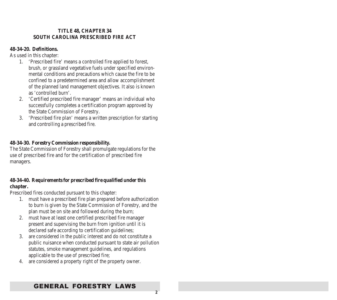#### **TITLE 48, CHAPTER 34 SOUTH CAROLINA PRESCRIBED FIRE ACT**

#### **48-34-20. Definitions.**

As used in this chapter:

- 1. 'Prescribed fire' means a controlled fire applied to forest, brush, or grassland vegetative fuels under specified environmental conditions and precautions which cause the fire to be confined to a predetermined area and allow accomplishment of the planned land management objectives. It also is known as 'controlled burn'.
- 2. 'Certified prescribed fire manager' means an individual who successfully completes a certification program approved by the State Commission of Forestry.
- 3. 'Prescribed fire plan' means a written prescription for starting and controlling a prescribed fire.

#### **48-34-30. Forestry Commission responsibility.**

The State Commission of Forestry shall promulgate regulations for the use of prescribed fire and for the certification of prescribed fire managers.

#### **48-34-40. Requirements for prescribed fire qualified under this chapter.**

Prescribed fires conducted pursuant to this chapter:

- 1. must have a prescribed fire plan prepared before authorization to burn is given by the State Commission of Forestry, and the plan must be on site and followed during the burn;
- 2. must have at least one certified prescribed fire manager present and supervising the burn from ignition until it is declared safe according to certification guidelines;
- 3. are considered in the public interest and do not constitute a public nuisance when conducted pursuant to state air pollution statutes, smoke management guidelines, and regulations applicable to the use of prescribed fire;
- 4. are considered a property right of the property owner.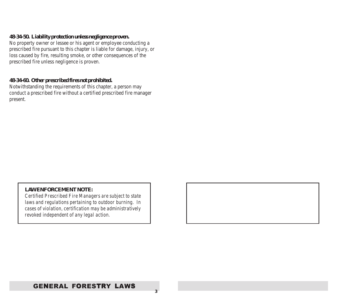#### **48-34-50. Liability protection unless negligence proven.**

No property owner or lessee or his agent or employee conducting a prescribed fire pursuant to this chapter is liable for damage, injury, or loss caused by fire, resulting smoke, or other consequences of the prescribed fire unless negligence is proven.

#### **48-34-60. Other prescribed fires not prohibited.**

Notwithstanding the requirements of this chapter, a person may conduct a prescribed fire without a certified prescribed fire manager present.

#### *LAW ENFORCEMENT NOTE:*

*Certified Prescribed Fire Managers are subject to state laws and regulations pertaining to outdoor burning. In cases of violation, certification may be administratively revoked independent of any legal action.*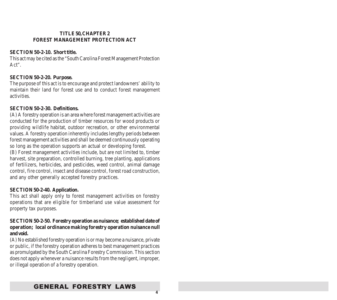#### **TITLE 50, CHAPTER 2 FOREST MANAGEMENT PROTECTION ACT**

#### **SECTION 50-2-10. Short title.**

This act may be cited as the "South Carolina Forest Management Protection Act".

#### **SECTION 50-2-20. Purpose.**

The purpose of this act is to encourage and protect landowners' ability to maintain their land for forest use and to conduct forest management activities.

#### **SECTION 50-2-30. Definitions.**

(A) A forestry operation is an area where forest management activities are conducted for the production of timber resources for wood products or providing wildlife habitat, outdoor recreation, or other environmental values. A forestry operation inherently includes lengthy periods between forest management activities and shall be deemed continuously operating so long as the operation supports an actual or developing forest.

(B) Forest management activities include, but are not limited to, timber harvest, site preparation, controlled burning, tree planting, applications of fertilizers, herbicides, and pesticides, weed control, animal damage control, fire control, insect and disease control, forest road construction, and any other generally accepted forestry practices.

#### **SECTION 50-2-40. Application.**

This act shall apply only to forest management activities on forestry operations that are eligible for timberland use value assessment for property tax purposes.

#### **SECTION 50-2-50. Forestry operation as nuisance; established date of operation; local ordinance making forestry operation nuisance null and void.**

(A) No established forestry operation is or may become a nuisance, private or public, if the forestry operation adheres to best management practices as promulgated by the South Carolina Forestry Commission. This section does not apply whenever a nuisance results from the negligent, improper, or illegal operation of a forestry operation.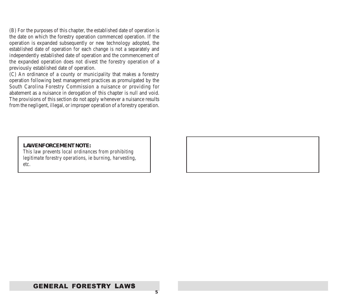(B) For the purposes of this chapter, the established date of operation is the date on which the forestry operation commenced operation. If the operation is expanded subsequently or new technology adopted, the established date of operation for each change is not a separately and independently established date of operation and the commencement of the expanded operation does not divest the forestry operation of a previously established date of operation.

(C) An ordinance of a county or municipality that makes a forestry operation following best management practices as promulgated by the South Carolina Forestry Commission a nuisance or providing for abatement as a nuisance in derogation of this chapter is null and void. The provisions of this section do not apply whenever a nuisance results from the negligent, illegal, or improper operation of a forestry operation.

#### *LAW ENFORCEMENT NOTE:*

*This law prevents local ordinances from prohibiting legitimate forestry operations,* ie *burning, harvesting, etc.*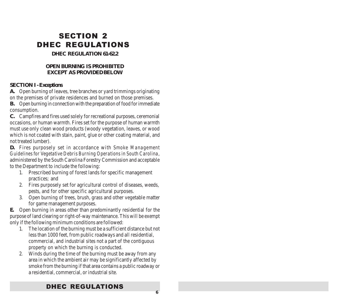# SECTION 2 DHEC REGULATIONS

#### **DHEC REGULATION 61-62.2**

#### **OPEN BURNING IS PROHIBITED EXCEPT AS PROVIDED BELOW**

#### **SECTION I - Exceptions**

**A.** Open burning of leaves, tree branches or yard trimmings originating on the premises of private residences and burned on those premises.

**B.** Open burning in connection with the preparation of food for immediate consumption.

**C.** Campfires and fires used solely for recreational purposes, ceremonial occasions, or human warmth. Fires set for the purpose of human warmth must use only clean wood products (woody vegetation, leaves, or wood which is not coated with stain, paint, glue or other coating material, and not treated lumber).

**D.** Fires purposely set in accordance with *Smoke Management Guidelines for Vegetative Debris Burning Operations in South Carolina*, administered by the South Carolina Forestry Commission and acceptable to the Department to include the following:

- 1. Prescribed burning of forest lands for specific management practices; and
- 2. Fires purposely set for agricultural control of diseases, weeds, pests, and for other specific agricultural purposes.
- 3. Open burning of trees, brush, grass and other vegetable matter for game management purposes.

**E.** Open burning in areas other than predominantly residential for the purpose of land clearing or right-of-way maintenance. This will be exempt only if the following minimum conditions are followed:

- 1. The location of the burning must be a sufficient distance but not less than 1000 feet, from public roadways and all residential, commercial, and industrial sites not a part of the contiguous property on which the burning is conducted.
- 2. Winds during the time of the burning must be away from any area in which the ambient air may be significantly affected by smoke from the burning if that area contains a public roadway or a residential, commercial, or industrial site.

### DHEC REGULATIONS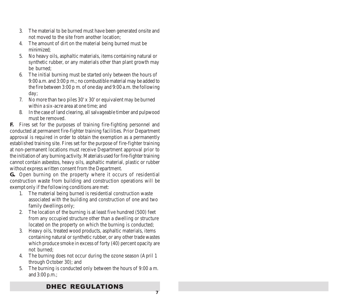- 3. The material to be burned must have been generated onsite and not moved to the site from another location;
- 4. The amount of dirt on the material being burned must be minimized;
- 5. No heavy oils, asphaltic materials, items containing natural or synthetic rubber, or any materials other than plant growth may be burned;
- 6. The initial burning must be started only between the hours of 9:00 a.m. and 3:00 p m.; no combustible material may be added to the fire between 3:00 p m. of one day and 9:00 a.m. the following day;
- 7. No more than two piles 30' x 30' or equivalent may be burned within a six-acre area at one time; and
- 8. In the case of land clearing, all salvageable timber and pulpwood must be removed.

**F.** Fires set for the purposes of training fire-fighting personnel and conducted at permanent fire-fighter training facilities. Prior Department approval is required in order to obtain the exemption as a permanently established training site. Fires set for the purpose of fire-fighter training at non-permanent locations must receive Department approval prior to the initiation of any burning activity. Materials used for fire-fighter training cannot contain asbestos, heavy oils, asphaltic material, plastic or rubber without express written consent from the Department.

**G..** Open burning on the property where it occurs of residential construction waste from building and construction operations will be exempt only if the following conditions are met:

- 1. The material being burned is residential construction waste associated with the building and construction of one and two family dwellings only;
- 2. The location of the burning is at least five hundred (500) feet from any occupied structure other than a dwelling or structure located on the property on which the burning is conducted;
- 3. Heavy oils, treated wood products, asphaltic materials, items containing natural or synthetic rubber, or any other trade wastes which produce smoke in excess of forty (40) percent opacity are not burned;
- 4. The burning does not occur during the ozone season (April 1 through October 30); and
- 5. The burning is conducted only between the hours of 9:00 a m. and 3:00 p.m.;

### DHEC REGULATIONS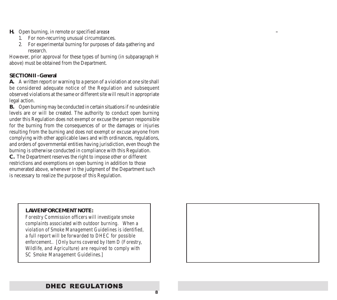- **H.** Open burning, in remote or specified areas**:**
	- 1. For non-recurring unusual circumstances.
	- 2. For experimental burning for purposes of data gathering and research.

However, prior approval for these types of burning (in subparagraph H above) must be obtained from the Department.

#### **SECTION II - General**

**A.** A written report or warning to a person of a violation at one site shall be considered adequate notice of the Regulation and subsequent observed violations at the same or different site will result in appropriate legal action.

**B.** Open burning may be conducted in certain situations if no undesirable levels are or will be created. The authority to conduct open burning under this Regulation does not exempt or excuse the person responsible for the burning from the consequences of or the damages or injuries resulting from the burning and does not exempt or excuse anyone from complying with other applicable laws and with ordinances, regulations, and orders of governmental entities having jurisdiction, even though the burning is otherwise conducted in compliance with this Regulation. **C.** The Department reserves the right to impose other or different restrictions and exemptions on open burning in addition to those

enumerated above, whenever in the judgment of the Department such is necessary to realize the purpose of this Regulation.

#### *LAW ENFORCEMENT NOTE:*

*Forestry Commission officers will investigate smoke complaints associated with outdoor burning. When a violation of Smoke Management Guidelines is identified, a full report will be forwarded to DHEC for possible enforcement.. [Only burns covered by Item D (Forestry, Wildlife, and Agriculture) are required to comply with SC Smoke Management Guidelines.]*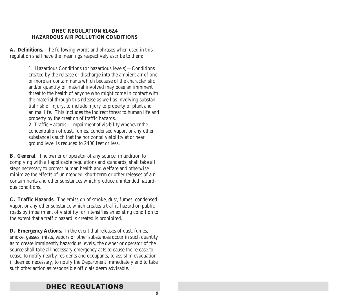#### **DHEC REGULATION 61-62.4 HAZARDOUS AIR POLLUTION CONDITIONS**

**A. Definitions.** The following words and phrases when used in this regulation shall have the meanings respectively ascribe to them:

> 1. Hazardous Conditions (or hazardous levels)—Conditions created by the release or discharge into the ambient air of one or more air contaminants which because of the characteristic and/or quantity of material involved may pose an imminent threat to the health of anyone who might come in contact with the material through this release as well as involving substantial risk of injury, to include injury to property or plant and animal life. This includes the indirect threat to human life and property by the creation of traffic hazards.

2. Traffic Hazards—Impairment of visibility whenever the concentration of dust, fumes, condensed vapor, or any other substance is such that the horizontal visibility at or near ground level is reduced to 2400 feet or less.

**B. General.** The owner or operator of any source, in addition to complying with all applicable regulations and standards, shall take all steps necessary to protect human health and welfare and otherwise minimize the effects of unintended, short-term or other releases of air contaminants and other substances which produce unintended hazardous conditions.

**C. Traffic Hazards.** The emission of smoke, dust, fumes, condensed vapor, or any other substance which creates a traffic hazard on public roads by impairment of visibility, or intensifies an existing condition to the extent that a traffic hazard is created is prohibited.

**D. Emergency Actions.** In the event that releases of dust, fumes, smoke, gasses, mists, vapors or other substances occur in such quantity as to create imminently hazardous levels, the owner or operator of the source shall take all necessary emergency acts to cause the release to cease, to notify nearby residents and occupants, to assist in evacuation if deemed necessary, to notify the Department immediately and to take such other action as responsible officials deem advisable.

### DHEC REGULATIONS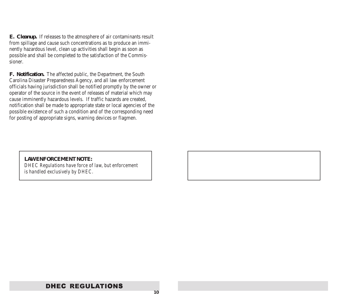**E. Cleanup.** If releases to the atmosphere of air contaminants result from spillage and cause such concentrations as to produce an imminently hazardous level, clean up activities shall begin as soon as possible and shall be completed to the satisfaction of the Commissioner.

**F. Notification.** The affected public, the Department, the South Carolina Disaster Preparedness Agency, and all law enforcement officials having jurisdiction shall be notified promptly by the owner or operator of the source in the event of releases of material which may cause imminently hazardous levels. If traffic hazards are created, notification shall be made to appropriate state or local agencies of the possible existence of such a condition and of the corresponding need for posting of appropriate signs, warning devices or flagmen.

#### *LAW ENFORCEMENT NOTE:*

*DHEC Regulations have force of law, but enforcement is handled exclusively by DHEC.*

### DHEC REGULATIONS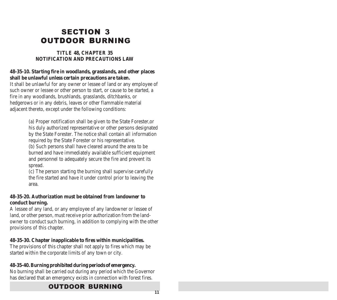# SECTION 3 **OUTDOOR BURNING**

#### **TITLE 48, CHAPTER 35 NOTIFICATION AND PRECAUTIONS LAW**

#### **48-35-10. Starting fire in woodlands, grasslands, and other places shall be unlawful unless certain precautions are taken.**

It shall be unlawful for any owner or lessee of land or any employee of such owner or lessee or other person to start, or cause to be started, a fire in any woodlands, brushlands, grasslands, ditchbanks, or hedgerows or in any debris, leaves or other flammable material adjacent thereto, except under the following conditions:

> (a) Proper notification shall be given to the State Forester,or his duly authorized representative or other persons designated by the State Forester. The notice shall contain all information required by the State Forester or his representative.

(b) Such persons shall have cleared around the area to be burned and have immediately available sufficient equipment and personnel to adequately secure the fire and prevent its spread.

(c) The person starting the burning shall supervise carefully the fire started and have it under control prior to leaving the area.

#### **48-35-20. Authorization must be obtained from landowner to conduct burning.**

A lessee of any land, or any employee of any landowner or lessee of land, or other person, must receive prior authorization from the landowner to conduct such burning, in addition to complying with the other provisions of this chapter.

#### **48-35-30. Chapter inapplicable to fires within municipalities.**

The provisions of this chapter shall not apply to fires which may be started within the corporate limits of any town or city.

#### **48-35-40. Burning prohibited during periods of emergency.**

No burning shall be carried out during any period which the Governor has declared that an emergency exists in connection with forest fires.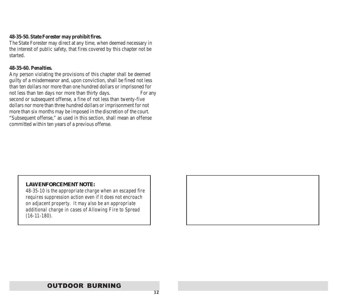#### **48-35-50. State Forester may prohibit fires.**

The State Forester may direct at any time, when deemed necessary in the interest of public safety, that fires covered by this chapter not be started.

#### **48-35-60. Penalties.**

Any person violating the provisions of this chapter shall be deemed guilty of a misdemeanor and, upon conviction, shall be fined not less than ten dollars nor more than one hundred dollars or imprisoned for not less than ten days nor more than thirty days. For any second or subsequent offense, a fine of not less than twenty-five dollars nor more than three hundred dollars or imprisonment for not more than six months may be imposed in the discretion of the court. "Subsequent offense," as used in this section, shall mean an offense committed within ten years of a previous offense.

#### *LAW ENFORCEMENT NOTE:*

*48-35-10 is the appropriate charge when an escaped fire requires suppression action even if it does not encroach on adjacent property. It may also be an appropriate additional charge in cases of Allowing Fire to Spread (16-11-180).*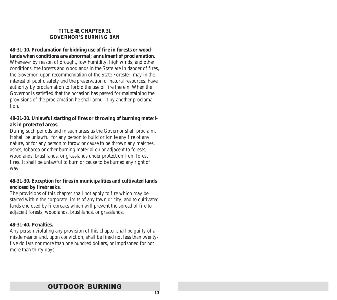#### **TITLE 48, CHAPTER 31 GOVERNOR'S BURNING BAN**

#### **48-31-10. Proclamation forbidding use of fire in forests or woodlands when conditions are abnormal; annulment of proclamation.**

Whenever by reason of drought, low humidity, high winds, and other conditions, the forests and woodlands in the State are in danger of fires, the Governor, upon recommendation of the State Forester, may in the interest of public safety and the preservation of natural resources, have authority by proclamation to forbid the use of fire therein. When the Governor is satisfied that the occasion has passed for maintaining the provisions of the proclamation he shall annul it by another proclamation.

#### **48-31-20. Unlawful starting of fires or throwing of burning materials in protected areas.**

During such periods and in such areas as the Governor shall proclaim, it shall be unlawful for any person to build or ignite any fire of any nature, or for any person to throw or cause to be thrown any matches, ashes, tobacco or other burning material on or adjacent to forests, woodlands, brushlands, or grasslands under protection from forest fires. It shall be unlawful to burn or cause to be burned any right of way.

#### **48-31-30. Exception for fires in municipalities and cultivated lands enclosed by firebreaks.**

The provisions of this chapter shall not apply to fire which may be started within the corporate limits of any town or city, and to cultivated lands enclosed by firebreaks which will prevent the spread of fire to adjacent forests, woodlands, brushlands, or grasslands.

#### **48-31-40. Penalties.**

Any person violating any provision of this chapter shall be guilty of a misdemeanor and, upon conviction, shall be fined not less than twentyfive dollars nor more than one hundred dollars, or imprisoned for not more than thirty days.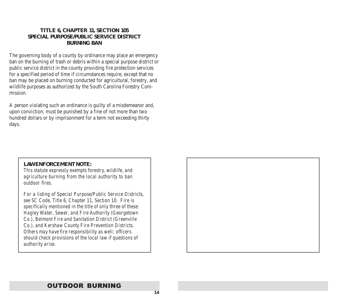#### **TITLE 6, CHAPTER 11, SECTION 105 SPECIAL PURPOSE/PUBLIC SERVICE DISTRICT BURNING BAN**

The governing body of a county by ordinance may place an emergency ban on the burning of trash or debris within a special purpose district or public service district in the county providing fire protection services for a specified period of time if circumstances require, except that no ban may be placed on burning conducted for agricultural, forestry, and wildlife purposes as authorized by the South Carolina Forestry Commission.

A person violating such an ordinance is guilty of a misdemeanor and, upon conviction, must be punished by a fine of not more than two hundred dollars or by imprisonment for a term not exceeding thirty days.

#### *LAW ENFORCEMENT NOTE:*

*This statute expressly exempts forestry, wildlife, and agriculture burning from the local authority to ban outdoor fires.*

*For a listing of Special Purpose/Public Service Districts, see SC Code, Title 6, Chapter 11, Section 10. Fire is specifically mentioned in the title of only three of these: Hagley Water, Sewer, and Fire Authority (Georgetown Co.), Belmont Fire and Sanitation District (Greenville Co.), and Kershaw County Fire Prevention Districts. Others may have fire responsibility as well; officers should check provisions of the local law if questions of authority arise.*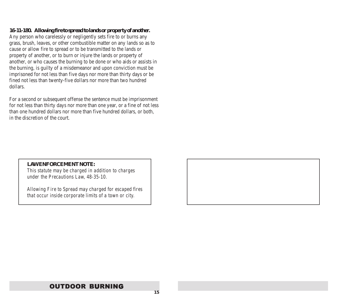#### **16-11-180. Allowing fire to spread to lands or property of another.**

Any person who carelessly or negligently sets fire to or burns any grass, brush, leaves, or other combustible matter on any lands so as to cause or allow fire to spread or to be transmitted to the lands or property of another, or to burn or injure the lands or property of another, or who causes the burning to be done or who aids or assists in the burning, is guilty of a misdemeanor and upon conviction must be imprisoned for not less than five days nor more than thirty days or be fined not less than twenty-five dollars nor more than two hundred dollars.

For a second or subsequent offense the sentence must be imprisonment for not less than thirty days nor more than one year, or a fine of not less than one hundred dollars nor more than five hundred dollars, or both, in the discretion of the court.

#### *LAW ENFORCEMENT NOTE:*

*This statute may be charged in addition to charges under the Precautions Law, 48-35-10.*

*Allowing Fire to Spread may charged for escaped fires that occur inside corporate limits of a town or city.*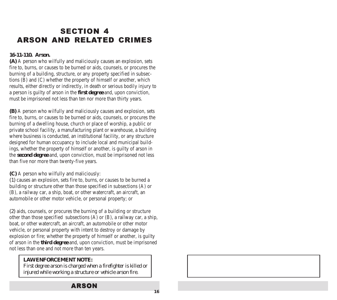# SECTION 4 **ARSON AND RELATED CRIMES**

#### **16-11-110. Arson.**

**(A)** A person who wilfully and maliciously causes an explosion, sets fire to, burns, or causes to be burned or aids, counsels, or procures the burning of a building, structure, or any property specified in subsections (B) and (C) whether the property of himself or another, which results, either directly or indirectly, in death or serious bodily injury to a person is guilty of arson in the **first degree** and, upon conviction, must be imprisoned not less than ten nor more than thirty years.

**(B)** A person who wilfully and maliciously causes and explosion, sets fire to, burns, or causes to be burned or aids, counsels, or procures the burning of a dwelling house, church or place of worship, a public or private school facility, a manufacturing plant or warehouse, a building where business is conducted, an institutional facility, or any structure designed for human occupancy to include local and municipal buildings, whether the property of himself or another, is guilty of arson in the **second degree** and, upon conviction, must be imprisoned not less than five nor more than twenty-five years.

**(C)** A person who wilfully and maliciously:

*(1)* causes an explosion, sets fire to, burns, or causes to be burned a building or structure other than those specified in subsections (A) or (B), a railway car, a ship, boat, or other watercraft, an aircraft, an automobile or other motor vehicle, or personal property; or

*(2)* aids, counsels, or procures the burning of a building or structure other than those specified subsections (A) or (B), a railway car, a ship, boat, or other watercraft, an aircraft, an automobile or other motor vehicle, or personal property with intent to destroy or damage by explosion or fire; whether the property of himself or another, is guilty of arson in the **third degree** and, upon conviction, must be imprisoned not less than one and not more than ten years.

#### *LAW ENFORCEMENT NOTE:*

*First degree arson is charged when a firefighter is killed or injured while working a structure or vehicle arson fire.*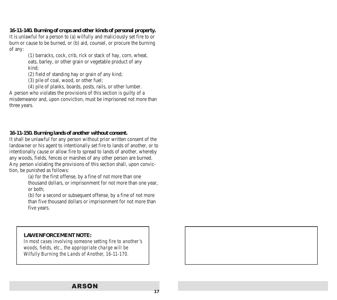**16-11-140. Burning of crops and other kinds of personal property.** It is unlawful for a person to (a) wilfully and maliciously set fire to or burn or cause to be burned, or (b) aid, counsel, or procure the burning of any:

> (1) barracks, cock, crib, rick or stack of hay, corn, wheat, oats, barley, or other grain or vegetable product of any kind;

(2) field of standing hay or grain of any kind;

(3) pile of coal, wood, or other fuel;

(4) pile of planks, boards, posts, rails, or other lumber. A person who violates the provisions of this section is guilty of a misdemeanor and, upon conviction, must be imprisoned not more than three years.

#### **16-11-150. Burning lands of another without consent.**

It shall be unlawful for any person without prior written consent of the landowner or his agent to intentionally set fire to lands of another, or to intentionally cause or allow fire to spread to lands of another, whereby any woods, fields, fences or marshes of any other person are burned. Any person violating the provisions of this section shall, upon conviction, be punished as follows:

> (a) for the first offense, by a fine of not more than one thousand dollars, or imprisonment for not more than one year, or both;

(b) for a second or subsequent offense, by a fine of not more than five thousand dollars or imprisonment for not more than five years.

#### *LAW ENFORCEMENT NOTE:*

*In most cases involving someone setting fire to another's woods, fields, etc., the appropriate charge will be Wilfully Burning the Lands of Another, 16-11-170.*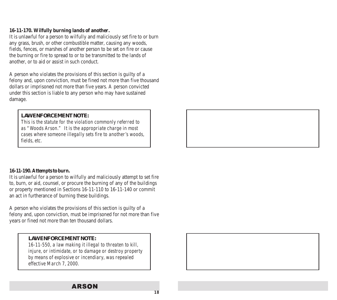#### **16-11-170. Wilfully burning lands of another.**

It is unlawful for a person to wilfully and maliciously set fire to or burn any grass, brush, or other combustible matter, causing any woods, fields, fences, or marshes of another person to be set on fire or cause the burning or fire to spread to or to be transmitted to the lands of another, or to aid or assist in such conduct.

A person who violates the provisions of this section is guilty of a felony and, upon conviction, must be fined not more than five thousand dollars or imprisoned not more than five years. A person convicted under this section is liable to any person who may have sustained damage.

#### *LAW ENFORCEMENT NOTE:*

*This is the statute for the violation commonly referred to as "Woods Arson." It is the appropriate charge in most cases where someone illegally sets fire to another's woods, fields, etc.*

#### **16-11-190. Attempts to burn.**

It is unlawful for a person to wilfully and maliciously attempt to set fire to, burn, or aid, counsel, or procure the burning of any of the buildings or property mentioned in Sections 16-11-110 to 16-11-140 or commit an act in furtherance of burning these buildings.

A person who violates the provisions of this section is guilty of a felony and, upon conviction, must be imprisoned for not more than five years or fined not more than ten thousand dollars.

#### *LAW ENFORCEMENT NOTE:*

*16-11-550, a law making it illegal to threaten to kill, injure, or intimidate, or to damage or destroy property by means of explosive or incendiary, was repealed effective March 7, 2000.*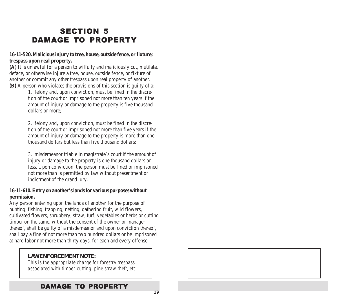# **SECTION 5** DAMAGE TO PROPERTY

#### **16-11-520. Malicious injury to tree, house, outside fence, or fixture; trespass upon real property.**

**(A)** It is unlawful for a person to wilfully and maliciously cut, mutilate, deface, or otherwise injure a tree, house, outside fence, or fixture of another or commit any other trespass upon real property of another. **(B)** A person who violates the provisions of this section is guilty of a:

> 1. felony and, upon conviction, must be fined in the discretion of the court or imprisoned not more than ten years if the amount of injury or damage to the property is five thousand dollars or more;

2. felony and, upon conviction, must be fined in the discretion of the court or imprisoned not more than five years if the amount of injury or damage to the property is more than one thousand dollars but less than five thousand dollars;

3. misdemeanor triable in magistrate's court if the amount of injury or damage to the property is one thousand dollars or less. Upon conviction, the person must be fined or imprisoned not more than is permitted by law without presentment or indictment of the grand jury.

#### **16-11-610. Entry on another's lands for various purposes without permission.**

Any person entering upon the lands of another for the purpose of hunting, fishing, trapping, netting, gathering fruit, wild flowers, cultivated flowers, shrubbery, straw, turf, vegetables or herbs or cutting timber on the same, without the consent of the owner or manager thereof, shall be guilty of a misdemeanor and upon conviction thereof, shall pay a fine of not more than two hundred dollars or be imprisoned at hard labor not more than thirty days, for each and every offense.

#### *LAW ENFORCEMENT NOTE:*

*This is the appropriate charge for forestry trespass associated with timber cutting, pine straw theft, etc.*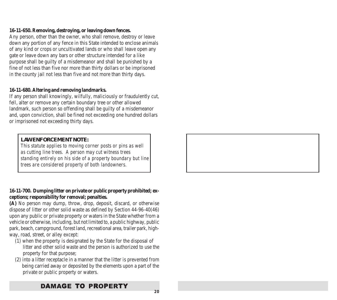#### **16-11-650. Removing, destroying, or leaving down fences.**

Any person, other than the owner, who shall remove, destroy or leave down any portion of any fence in this State intended to enclose animals of any kind or crops or uncultivated lands or who shall leave open any gate or leave down any bars or other structure intended for a like purpose shall be guilty of a misdemeanor and shall be punished by a fine of not less than five nor more than thirty dollars or be imprisoned in the county jail not less than five and not more than thirty days.

#### **16-11-680. Altering and removing landmarks.**

If any person shall knowingly, wilfully, maliciously or fraudulently cut, fell, alter or remove any certain boundary tree or other allowed landmark, such person so offending shall be guilty of a misdemeanor and, upon conviction, shall be fined not exceeding one hundred dollars or imprisoned not exceeding thirty days.

#### *LAW ENFORCEMENT NOTE:*

*This statute applies to moving corner posts or pins as well as cutting line trees. A person may cut witness trees standing entirely on his side of a property boundary but line trees are considered property of both landowners.*

#### **16-11-700. Dumping litter on private or public property prohibited; exceptions; responsibility for removal; penalties.**

**(A)** No person may dump, throw, drop, deposit, discard, or otherwise dispose of litter or other solid waste as defined by Section 44-96-40(46) upon any public or private property or waters in the State whether from a vehicle or otherwise, including, but not limited to, a public highway, public park, beach, campground, forest land, recreational area, trailer park, highway, road, street, or alley except:

- (1) when the property is designated by the State for the disposal of litter and other solid waste and the person is authorized to use the property for that purpose;
- (2) into a litter receptacle in a manner that the litter is prevented from being carried away or deposited by the elements upon a part of the private or public property or waters.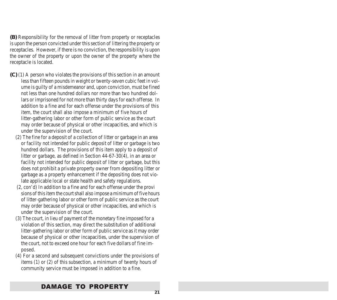**(B)** Responsibility for the removal of litter from property or receptacles is upon the person convicted under this section of littering the property or receptacles. However, if there is no conviction, the responsibility is upon the owner of the property or upon the owner of the property where the receptacle is located.

- **(C)** (1) A person who violates the provisions of this section in an amount less than fifteen pounds in weight or twenty-seven cubic feet in volume is guilty of a misdemeanor and, upon conviction, must be fined not less than one hundred dollars nor more than two hundred dollars or imprisoned for not more than thirty days for each offense. In addition to a fine and for each offense under the provisions of this item, the court shall also impose a minimum of five hours of litter-gathering labor or other form of public service as the court may order because of physical or other incapacities, and which is under the supervision of the court.
	- (2) The fine for a deposit of a collection of litter or garbage in an area or facility not intended for public deposit of litter or garbage is two hundred dollars. The provisions of this item apply to a deposit of litter or garbage, as defined in Section 44-67-30(4), in an area or facility not intended for public deposit of litter or garbage, but this does not prohibit a private property owner from depositing litter or garbage as a property enhancement if the depositing does not violate applicable local or state health and safety regulations.
	- (2, con'd) In addition to a fine and for each offense under the provi sions of this item the court shall also impose a minimum of five hours of litter-gathering labor or other form of public service as the court may order because of physical or other incapacities, and which is under the supervision of the court.
	- (3) The court, in lieu of payment of the monetary fine imposed for a violation of this section, may direct the substitution of additional litter-gathering labor or other form of public service as it may order because of physical or other incapacities, under the supervision of the court, not to exceed one hour for each five dollars of fine imposed.
	- (4) For a second and subsequent convictions under the provisions of items (1) or (2) of this subsection, a minimum of twenty hours of community service must be imposed in addition to a fine.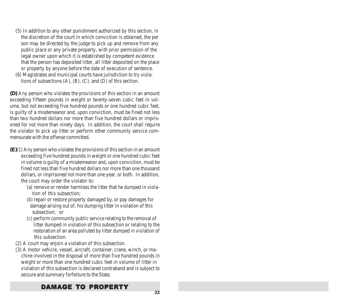- (5) In addition to any other punishment authorized by this section, in the discretion of the court in which conviction is obtained, the per son may be directed by the judge to pick up and remove from any public place or any private property, with prior permission of the legal owner upon which it is established by competent evidence that the person has deposited litter, all litter deposited on the place or property by anyone before the date of execution of sentence.
- (6) Magistrates and municipal courts have jurisdiction to try violations of subsections  $(A)$ ,  $(B)$ ,  $(C)$ , and  $(D)$  of this section.

**(D)** Any person who violates the provisions of this section in an amount exceeding fifteen pounds in weight or twenty-seven cubic feet in volume, but not exceeding five hundred pounds or one hundred cubic feet, is guilty of a misdemeanor and, upon conviction, must be fined not less than two hundred dollars nor more than five hundred dollars or imprisoned for not more than ninety days. In addition, the court shall require the violator to pick up litter or perform other community service commensurate with the offense committed.

- **(E)**(1) Any person who violates the provisions of this section in an amount exceeding five hundred pounds in weight or one hundred cubic feet in volume is guilty of a misdemeanor and, upon conviction, must be fined not less than five hundred dollars nor more than one thousand dollars, or imprisoned not more than one year, or both. In addition, the court may order the violator to:
	- (a) remove or render harmless the litter that he dumped in violation of this subsection;
	- (b) repair or restore property damaged by, or pay damages for damage arising out of, his dumping litter in violation of this subsection; or
	- (c) perform community public service relating to the removal of litter dumped in violation of this subsection or relating to the restoration of an area polluted by litter dumped in violation of this subsection.
	- (2) A court may enjoin a violation of this subsection.
	- (3) A motor vehicle, vessel, aircraft, container, crane, winch, or machine involved in the disposal of more than five hundred pounds in weight or more than one hundred cubic feet in volume of litter in violation of this subsection is declared contraband and is subject to seizure and summary forfeiture to the State.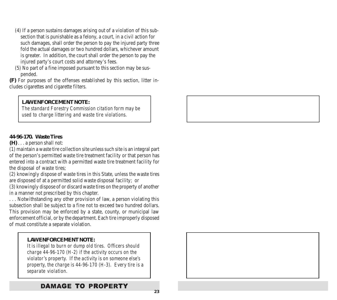- (4) If a person sustains damages arising out of a violation of this subsection that is punishable as a felony, a court, in a civil action for such damages, shall order the person to pay the injured party three fold the actual damages or two hundred dollars, whichever amount is greater. In addition, the court shall order the person to pay the injured party's court costs and attorney's fees.
- (5) No part of a fine imposed pursuant to this section may be suspended.

**(F)** For purposes of the offenses established by this section, litter includes cigarettes and cigarette filters.

#### *LAW ENFORCEMENT NOTE:*

*The standard Forestry Commission citation form may be used to charge littering and waste tire violations.*

#### **44-96-170. Waste Tires**

**(H)** . . . a person shall not:

(1) maintain a waste tire collection site unless such site is an integral part of the person's permitted waste tire treatment facility or that person has entered into a contract with a permitted waste tire treatment facility for the disposal of waste tires;

(2) knowingly dispose of waste tires in this State, unless the waste tires are disposed of at a permitted solid waste disposal facility; or

(3) knowingly dispose of or discard waste tires on the property of another in a manner not prescribed by this chapter.

. . . Notwithstanding any other provision of law, a person violating this subsection shall be subject to a fine not to exceed two hundred dollars. This provision may be enforced by a state, county, or municipal law enforcement official, or by the department. Each tire improperly disposed of must constitute a separate violation.

#### *LAW ENFORCEMENT NOTE:*

*It is illegal to burn or dump old tires. Officers should charge 44-96-170 (H-2) if the activity occurs on the violator's property. If the activity is on someone else's property, the charge is 44-96-170 (H-3). Every tire is a separate violation.*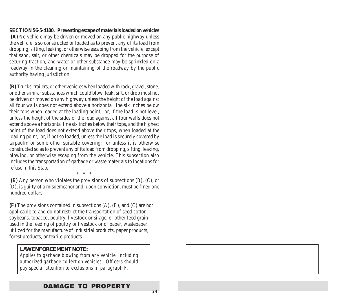#### **SECTION 56-5-4100. Preventing escape of materials loaded on vehicles**

 **(A)** No vehicle may be driven or moved on any public highway unless the vehicle is so constructed or loaded as to prevent any of its load from dropping, sifting, leaking, or otherwise escaping from the vehicle, except that sand, salt, or other chemicals may be dropped for the purpose of securing traction, and water or other substance may be sprinkled on a roadway in the cleaning or maintaining of the roadway by the public authority having jurisdiction.

**(B)** Trucks, trailers, or other vehicles when loaded with rock, gravel, stone, or other similar substances which could blow, leak, sift, or drop must not be driven or moved on any highway unless the height of the load against all four walls does not extend above a horizontal line six inches below their tops when loaded at the loading point; or, if the load is not level, unless the height of the sides of the load against all four walls does not extend above a horizontal line six inches below their tops, and the highest point of the load does not extend above their tops, when loaded at the loading point; or, if not so loaded, unless the load is securely covered by tarpaulin or some other suitable covering; or unless it is otherwise constructed so as to prevent any of its load from dropping, sifting, leaking, blowing, or otherwise escaping from the vehicle. This subsection also includes the transportation of garbage or waste materials to locations for refuse in this State.

\* \* \*

**(E)** Any person who violates the provisions of subsections (B), (C), or (D), is guilty of a misdemeanor and, upon conviction, must be fined one hundred dollars.

**(F)** The provisions contained in subsections (A), (B), and (C) are not applicable to and do not restrict the transportation of seed cotton, soybeans, tobacco, poultry, livestock or silage, or other feed grain used in the feeding of poultry or livestock or of paper, wastepaper utilized for the manufacture of industrial products, paper products, forest products, or textile products.

#### *LAW ENFORCEMENT NOTE:*

*Applies to garbage blowing from any vehicle, including authorized garbage collection vehicles. Officers should pay special attention to exclusions in paragraph F.*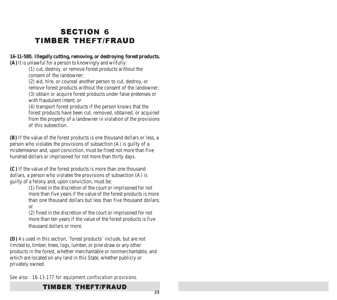# **SECTION 6 TIMBER THEFT/FRAUD**

#### **16-11-580. Illegally cutting, removing, or destroying forest products.**

**(A)** It is unlawful for a person to knowingly and wilfully:

(1) cut, destroy, or remove forest products without the consent of the landowner;

(2) aid, hire, or counsel another person to cut, destroy, or remove forest products without the consent of the landowner; (3) obtain or acquire forest products under false pretenses or with fraudulent intent; or

(4) transport forest products if the person knows that the forest products have been cut, removed, obtained, or acquired from the property of a landowner in violation of the provisions of this subsection.

**(B)** If the value of the forest products is one thousand dollars or less, a person who violates the provisions of subsection (A) is guilty of a misdemeanor and, upon conviction, must be fined not more than five hundred dollars or imprisoned for not more than thirty days.

**(C)** If the value of the forest products is more than one thousand dollars, a person who violates the provisions of subsection (A) is guilty of a felony and, upon conviction, must be:

(1) fined in the discretion of the court or imprisoned for not more than five years if the value of the forest products is more than one thousand dollars but less than five thousand dollars; or

(2) fined in the discretion of the court or imprisoned for not more than ten years if the value of the forest products is five thousand dollars or more.

**(D)** As used in this section, 'forest products' include, but are not limited to, timber, trees, logs, lumber, or pine straw or any other products in the forest, whether merchantable or nonmerchantable, and which are located on any land in this State, whether publicly or privately owned.

*See also: 16-13-177 for equipment confiscation provisions.*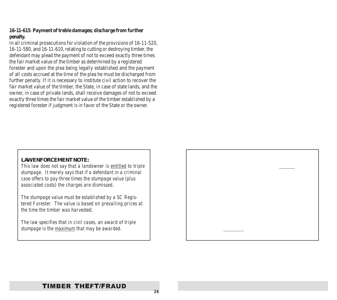#### **16-11-615**. **Payment of treble damages; discharge from further penalty.**

In all criminal prosecutions for violation of the provisions of 16-11-520, 16-11-580, and 16-11-610, relating to cutting or destroying timber, the defendant may plead the payment of not to exceed exactly three times the fair market value of the timber as determined by a registered forester and upon the plea being legally established and the payment of all costs accrued at the time of the plea he must be discharged from further penalty. If it is necessary to institute civil action to recover the fair market value of the timber, the State, in case of state lands, and the owner, in case of private lands, shall receive damages of not to exceed exactly three times the fair market value of the timber established by a registered forester if judgment is in favor of the State or the owner.

#### *LAW ENFORCEMENT NOTE:*

*This law does not say that a landowner is entitled to triple stumpage. It merely says that if a defendant in a criminal case offers to pay three times the stumpage value (plus associated costs) the charges are dismissed.*

*The stumpage value must be established by a SC Registered Forester. The value is based on prevailing prices at the time the timber was harvested.*

*The law specifies that in civil cases, an award of triple stumpage is the maximum that may be awarded.*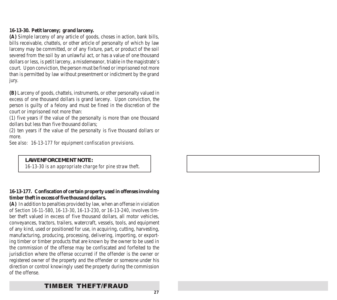#### **16-13-30. Petit larceny; grand larceny.**

**(A)** Simple larceny of any article of goods, choses in action, bank bills, bills receivable, chattels, or other article of personalty of which by law larceny may be committed, or of any fixture, part, or product of the soil severed from the soil by an unlawful act, or has a value of one thousand dollars or less, is petit larceny, a misdemeanor, triable in the magistrate's court. Upon conviction, the person must be fined or imprisoned not more than is permitted by law without presentment or indictment by the grand jury.

**(B)** Larceny of goods, chattels, instruments, or other personalty valued in excess of one thousand dollars is grand larceny. Upon conviction, the person is guilty of a felony and must be fined in the discretion of the court or imprisoned not more than:

(1) five years if the value of the personalty is more than one thousand dollars but less than five thousand dollars;

(2) ten years if the value of the personalty is five thousand dollars or more.

*See also: 16-13-177 for equipment confiscation provisions.*

#### *LAW ENFORCEMENT NOTE:*

*16-13-30 is an appropriate charge for pine straw theft.*

#### **16-13-177. Confiscation of certain property used in offenses involving timber theft in excess of five thousand dollars.**

**(A)** In addition to penalties provided by law, when an offense in violation of *Section 16-11-580*, *16-13-30*, *16-13-230*, or *16-13-240*, involves timber theft valued in excess of five thousand dollars, all motor vehicles, conveyances, tractors, trailers, watercraft, vessels, tools, and equipment of any kind, used or positioned for use, in acquiring, cutting, harvesting, manufacturing, producing, processing, delivering, importing, or exporting timber or timber products that are known by the owner to be used in the commission of the offense may be confiscated and forfeited to the jurisdiction where the offense occurred if the offender is the owner or registered owner of the property and the offender or someone under his direction or control knowingly used the property during the commission of the offense.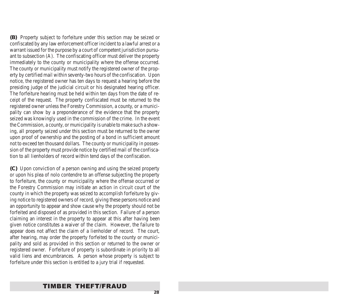**(B)** Property subject to forfeiture under this section may be seized or confiscated by any law enforcement officer incident to a lawful arrest or a warrant issued for the purpose by a court of competent jurisdiction pursuant to subsection (A). The confiscating officer must deliver the property immediately to the county or municipality where the offense occurred. The county or municipality must notify the registered owner of the property by certified mail within seventy-two hours of the confiscation. Upon notice, the registered owner has ten days to request a hearing before the presiding judge of the judicial circuit or his designated hearing officer. The forfeiture hearing must be held within ten days from the date of receipt of the request. The property confiscated must be returned to the registered owner unless the Forestry Commission, a county, or a municipality can show by a preponderance of the evidence that the property seized was knowingly used in the commission of the crime. In the event the Commission, a county, or municipality is unable to make such a showing, all property seized under this section must be returned to the owner upon proof of ownership and the posting of a bond in sufficient amount not to exceed ten thousand dollars. The county or municipality in possession of the property must provide notice by certified mail of the confiscation to all lienholders of record within tend days of the confiscation.

**(C)** Upon conviction of a person owning and using the seized property or upon his plea of nolo contendre to an offense subjecting the property to forfeiture, the county or municipality where the offense occurred or the Forestry Commission may initiate an action in circuit court of the county in which the property was seized to accomplish forfeiture by giving notice to registered owners of record, giving these persons notice and an opportunity to appear and show cause why the property should not be forfeited and disposed of as provided in this section. Failure of a person claiming an interest in the property to appear at this after having been given notice constitutes a waiver of the claim. However, the failure to appear does not affect the claim of a lienholder of record. The court, after hearing, may order the property forfeited to the county or municipality and sold as provided in this section or returned to the owner or registered owner. Forfeiture of property is subordinate in priority to all valid liens and encumbrances. A person whose property is subject to forfeiture under this section is entitled to a jury trial if requested.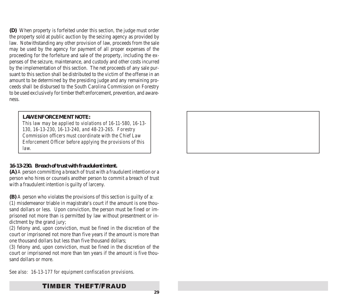**(D)** When property is forfeited under this section, the judge must order the property sold at public auction by the seizing agency as provided by law. Notwithstanding any other provision of law, proceeds from the sale may be used by the agency for payment of all proper expenses of the proceeding for the forfeiture and sale of the property, including the expenses of the seizure, maintenance, and custody and other costs incurred by the implementation of this section. The net proceeds of any sale pursuant to this section shall be distributed to the victim of the offense in an amount to be determined by the presiding judge and any remaining proceeds shall be disbursed to the South Carolina Commission on Forestry to be used exclusively for timber theft enforcement, prevention, and awareness.

#### *LAW ENFORCEMENT NOTE:*

*This law may be applied to violations of 16-11-580, 16-13- 130, 16-13-230, 16-13-240, and 48-23-265. Forestry Commission officers must coordinate with the Chief Law Enforcement Officer before applying the provisions of this law.*

#### **16-13-230. Breach of trust with fraudulent intent.**

**(A)** A person committing a breach of trust with a fraudulent intention or a person who hires or counsels another person to commit a breach of trust with a fraudulent intention is guilty of larceny.

**(B)** A person who violates the provisions of this section is guilty of a:

(1) misdemeanor triable in magistrate's court if the amount is one thousand dollars or less. Upon conviction, the person must be fined or imprisoned not more than is permitted by law without presentment or indictment by the grand jury;

(2) felony and, upon conviction, must be fined in the discretion of the court or imprisoned not more than five years if the amount is more than one thousand dollars but less than five thousand dollars;

(3) felony and, upon conviction, must be fined in the discretion of the court or imprisoned not more than ten years if the amount is five thousand dollars or more.

*See also: 16-13-177 for equipment confiscation provisions.*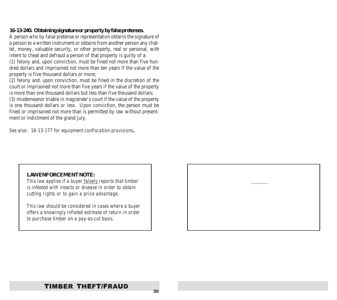#### **16-13-240. Obtaining signature or property by false pretenses.**

A person who by false pretense or representation obtains the signature of a person to a written instrument or obtains from another person any chattel, money, valuable security, or other property, real or personal, with intent to cheat and defraud a person of that property is guilty of a:

(1) felony and, upon conviction, must be fined not more than five hundred dollars and imprisoned not more than ten years if the value of the property is five thousand dollars or more;

(2) felony and, upon conviction, must be fined in the discretion of the court or imprisoned not more than five years if the value of the property is more than one thousand dollars but less than five thousand dollars;

(3) misdemeanor triable in magistrate's court if the value of the property is one thousand dollars or less. Upon conviction, the person must be fined or imprisoned not more than is permitted by law without presentment or indictment of the grand jury.

*See also: 16-13-177 for equipment confiscation provisions.*

#### *LAW ENFORCEMENT NOTE:*

*This law applies if a buyer falsely reports that timber is infested with insects or disease in order to obtain cutting rights or to gain a price advantage.*

*This law should be considered in cases where a buyer offers a knowingly inflated estimate of return in order to purchase timber on a pay-as-cut basis.*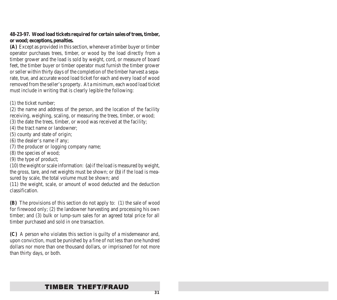#### **48-23-97. Wood load tickets required for certain sales of trees, timber, or wood; exceptions, penalties.**

**(A)** Except as provided in this section, whenever a timber buyer or timber operator purchases trees, timber, or wood by the load directly from a timber grower and the load is sold by weight, cord, or measure of board feet, the timber buyer or timber operator must furnish the timber grower or seller within thirty days of the completion of the timber harvest a separate, true, and accurate wood load ticket for each and every load of wood removed from the seller's property. At a minimum, each wood load ticket must include in writing that is clearly legible the following:

(1) the ticket number;

(2) the name and address of the person, and the location of the facility receiving, weighing, scaling, or measuring the trees, timber, or wood; (3) the date the trees, timber, or wood was received at the facility;

- (4) the tract name or landowner;
- (5) county and state of origin;
- (6) the dealer's name if any;
- (7) the producer or logging company name;
- (8) the species of wood;
- (9) the type of product;

(10) the weight or scale information: *(a)* if the load is measured by weight, the gross, tare, and net weights must be shown; or *(b)* if the load is measured by scale, the total volume must be shown; and

(11) the weight, scale, or amount of wood deducted and the deduction classification.

**(B)** The provisions of this section do not apply to: (1) the sale of wood for firewood only; (2) the landowner harvesting and processing his own timber; and (3) bulk or lump-sum sales for an agreed total price for all timber purchased and sold in one transaction.

**(C)** A person who violates this section is guilty of a misdemeanor and, upon conviction, must be punished by a fine of not less than one hundred dollars nor more than one thousand dollars, or imprisoned for not more than thirty days, or both.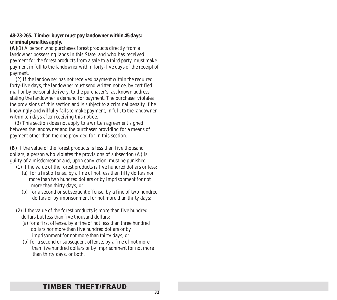#### **48-23-265. Timber buyer must pay landowner within 45 days; criminal penalties apply.**

**(A)**(1) A person who purchases forest products directly from a landowner possessing lands in this State, and who has received payment for the forest products from a sale to a third party, must make payment in full to the landowner within forty-five days of the receipt of payment.

 (2) If the landowner has not received payment within the required forty-five days, the landowner must send written notice, by certified mail or by personal delivery, to the purchaser's last known address stating the landowner's demand for payment. The purchaser violates the provisions of this section and is subject to a criminal penalty if he knowingly and wilfully fails to make payment, in full, to the landowner within ten days after receiving this notice.

 (3) This section does not apply to a written agreement signed between the landowner and the purchaser providing for a means of payment other than the one provided for in this section.

**(B)** If the value of the forest products is less than five thousand dollars, a person who violates the provisions of subsection (A) is guilty of a misdemeanor and, upon conviction, must be punished:

- (1) if the value of the forest products is five hundred dollars or less:
	- (a) for a first offense, by a fine of not less than fifty dollars nor more than two hundred dollars or by imprisonment for not more than thirty days; or
	- (b) for a second or subsequent offense, by a fine of two hundred dollars or by imprisonment for not more than thirty days;
- (2) if the value of the forest products is more than five hundred dollars but less than five thousand dollars:
	- (a) for a first offense, by a fine of not less than three hundred dollars nor more than five hundred dollars or by imprisonment for not more than thirty days; or
	- (b) for a second or subsequent offense, by a fine of not more than five hundred dollars or by imprisonment for not more than thirty days, or both.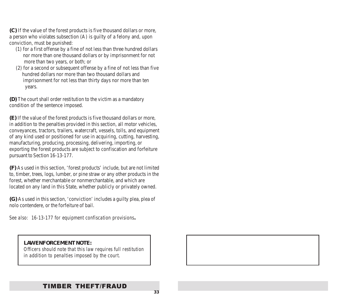**(C)** If the value of the forest products is five thousand dollars or more, a person who violates subsection (A) is guilty of a felony and, upon conviction, must be punished:

- (1) for a first offense by a fine of not less than three hundred dollars nor more than one thousand dollars or by imprisonment for not more than two years, or both; or
- (2) for a second or subsequent offense by a fine of not less than five hundred dollars nor more than two thousand dollars and imprisonment for not less than thirty days nor more than ten years.

**(D)** The court shall order restitution to the victim as a mandatory condition of the sentence imposed.

**(E)** If the value of the forest products is five thousand dollars or more, in addition to the penalties provided in this section, all motor vehicles, conveyances, tractors, trailers, watercraft, vessels, tolls, and equipment of any kind used or positioned for use in acquiring, cutting, harvesting, manufacturing, producing, processing, delivering, importing, or exporting the forest products are subject to confiscation and forfeiture pursuant to Section 16-13-177.

**(F)** As used in this section, 'forest products' include, but are not limited to, timber, trees, logs, lumber, or pine straw or any other products in the forest, whether merchantable or nonmerchantable, and which are located on any land in this State, whether publicly or privately owned.

**(G)** As used in this section, 'conviction' includes a guilty plea, plea of nolo contendere, or the forfeiture of bail.

*See also: 16-13-177 for equipment confiscation provisions.*

#### *LAW ENFORCEMENT NOTE:*

*Officers should note that this law requires full restitution in addition to penalties imposed by the court.*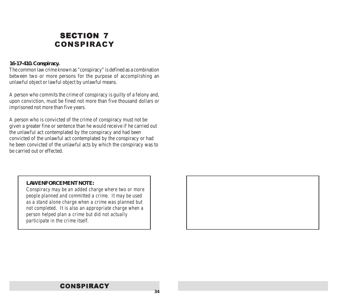# **SECTION 7** CONSPIRACY

#### **16-17-410. Conspiracy.**

The common law crime known as "conspiracy" is defined as a combination between two or more persons for the purpose of accomplishing an unlawful object or lawful object by unlawful means.

A person who commits the crime of conspiracy is guilty of a felony and, upon conviction, must be fined not more than five thousand dollars or imprisoned not more than five years.

A person who is convicted of the crime of conspiracy must not be given a greater fine or sentence than he would receive if he carried out the unlawful act contemplated by the conspiracy and had been convicted of the unlawful act contemplated by the conspiracy or had he been convicted of the unlawful acts by which the conspiracy was to be carried out or effected.

#### *LAW ENFORCEMENT NOTE:*

*Conspiracy may be an added charge where two or more people planned and committed a crime. It may be used as a stand alone charge when a crime was planned but not completed. It is also an appropriate charge when a person helped plan a crime but did not actually participate in the crime itself.*

### **CONSPIRACY**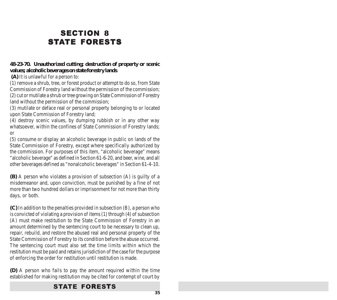# **SECTION 8** STATE FORESTS

#### **48-23-70. Unauthorized cutting; destruction of property or scenic values; alcoholic beverages on state forestry lands**.

 **(A)** It is unlawful for a person to:

(1) remove a shrub, tree, or forest product or attempt to do so, from State Commission of Forestry land without the permission of the commission; (2) cut or mutilate a shrub or tree growing on State Commission of Forestry land without the permission of the commission;

(3) mutilate or deface real or personal property belonging to or located upon State Commission of Forestry land;

(4) destroy scenic values, by dumping rubbish or in any other way whatsoever, within the confines of State Commission of Forestry lands; or

(5) consume or display an alcoholic beverage in public on lands of the State Commission of Forestry, except where specifically authorized by the commission. For purposes of this item, "alcoholic beverage" means "alcoholic beverage" as defined in Section 61-6-20, and beer, wine, and all other beverages defined as "nonalcoholic beverages" in Section 61-4-10.

**(B)** A person who violates a provision of subsection (A) is guilty of a misdemeanor and, upon conviction, must be punished by a fine of not more than two hundred dollars or imprisonment for not more than thirty days, or both.

**(C)** In addition to the penalties provided in subsection (B), a person who is convicted of violating a provision of items (1) through (4) of subsection (A) must make restitution to the State Commission of Forestry in an amount determined by the sentencing court to be necessary to clean up, repair, rebuild, and restore the abused real and personal property of the State Commission of Forestry to its condition before the abuse occurred. The sentencing court must also set the time limits within which the restitution must be paid and retains jurisdiction of the case for the purpose of enforcing the order for restitution until restitution is made.

**(D)** A person who fails to pay the amount required within the time established for making restitution may be cited for contempt of court by

### STATE FORESTS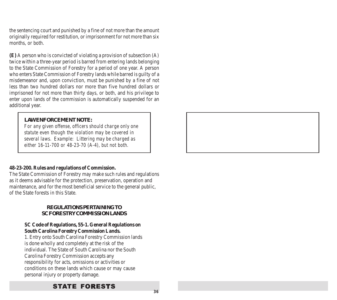the sentencing court and punished by a fine of not more than the amount originally required for restitution, or imprisonment for not more than six months, or both.

**(E)** A person who is convicted of violating a provision of subsection (A) twice within a three-year period is barred from entering lands belonging to the State Commission of Forestry for a period of one year. A person who enters State Commission of Forestry lands while barred is guilty of a misdemeanor and, upon conviction, must be punished by a fine of not less than two hundred dollars nor more than five hundred dollars or imprisoned for not more than thirty days, or both, and his privilege to enter upon lands of the commission is automatically suspended for an additional year.

#### *LAW ENFORCEMENT NOTE:*

*For any given offense, officers should charge only one statute even though the violation may be covered in several laws. Example: Littering may be charged as either 16-11-700 or 48-23-70 (A-4), but not both.*

#### **48-23-200. Rules and regulations of Commission.**

The State Commission of Forestry may make such rules and regulations as it deems advisable for the protection, preservation, operation and maintenance, and for the most beneficial service to the general public, of the State forests in this State.

#### *REGULATIONS PERTAINING TO SC FORESTRY COMMISSION LANDS*

#### **SC Code of Regulations, 55-1. General Regulations on South Carolina Forestry Commission Lands.**

1. Entry onto South Carolina Forestry Commission lands is done wholly and completely at the risk of the individual. The State of South Carolina nor the South Carolina Forestry Commission accepts any responsibility for acts, omissions or activities or conditions on these lands which cause or may cause personal injury or property damage.

### STATE FORESTS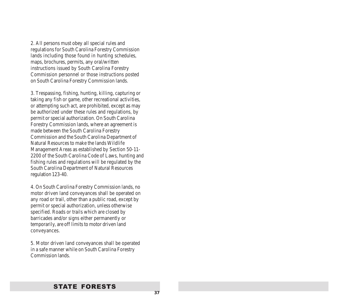2. All persons must obey all special rules and regulations for South Carolina Forestry Commission lands including those found in hunting schedules, maps, brochures, permits, any oral/written instructions issued by South Carolina Forestry Commission personnel or those instructions posted on South Carolina Forestry Commission lands.

3. Trespassing, fishing, hunting, killing, capturing or taking any fish or game, other recreational activities, or attempting such act, are prohibited, except as may be authorized under these rules and regulations, by permit or special authorization. On South Carolina Forestry Commission lands, where an agreement is made between the South Carolina Forestry Commission and the South Carolina Department of Natural Resources to make the lands Wildlife Management Areas as established by Section 50-11- 2200 of the South Carolina Code of Laws, hunting and fishing rules and regulations will be regulated by the South Carolina Department of Natural Resources regulation 123-40.

4. On South Carolina Forestry Commission lands, no motor driven land conveyances shall be operated on any road or trail, other than a public road, except by permit or special authorization, unless otherwise specified. Roads or trails which are closed by barricades and/or signs either permanently or temporarily, are off limits to motor driven land conveyances.

5. Motor driven land conveyances shall be operated in a safe manner while on South Carolina Forestry Commission lands.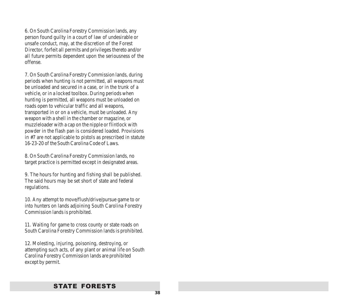6. On South Carolina Forestry Commission lands, any person found guilty in a court of law of undesirable or unsafe conduct, may, at the discretion of the Forest Director, forfeit all permits and privileges thereto and/or all future permits dependent upon the seriousness of the offense.

7. On South Carolina Forestry Commission lands, during periods when hunting is not permitted, all weapons must be unloaded and secured in a case, or in the trunk of a vehicle, or in a locked toolbox. During periods when hunting is permitted, all weapons must be unloaded on roads open to vehicular traffic and all weapons, transported in or on a vehicle, must be unloaded. Any weapon with a shell in the chamber or magazine, or muzzleloader with a cap on the nipple or flintlock with powder in the flash pan is considered loaded. Provisions in #7 are not applicable to pistols as prescribed in statute 16-23-20 of the South Carolina Code of Laws.

8. On South Carolina Forestry Commission lands, no target practice is permitted except in designated areas.

9. The hours for hunting and fishing shall be published. The said hours may be set short of state and federal regulations.

10. Any attempt to move/flush/drive/pursue game to or into hunters on lands adjoining South Carolina Forestry Commission lands is prohibited.

11. Waiting for game to cross county or state roads on South Carolina Forestry Commission lands is prohibited.

12. Molesting, injuring, poisoning, destroying, or attempting such acts, of any plant or animal life on South Carolina Forestry Commission lands are prohibited except by permit.

### STATE FORESTS